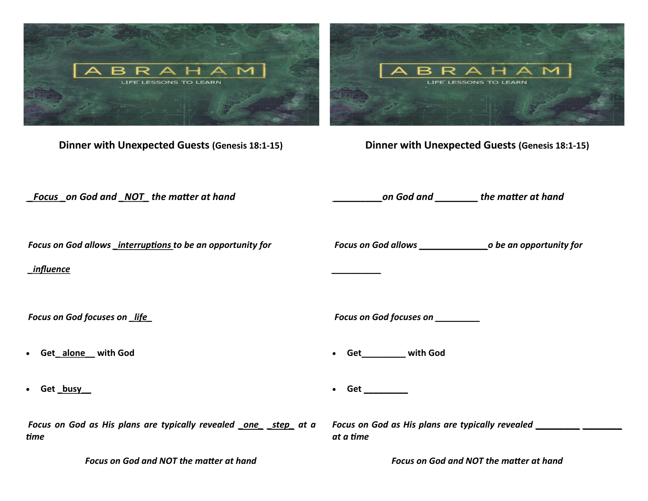

*Focus on God and NOT the matter at hand*